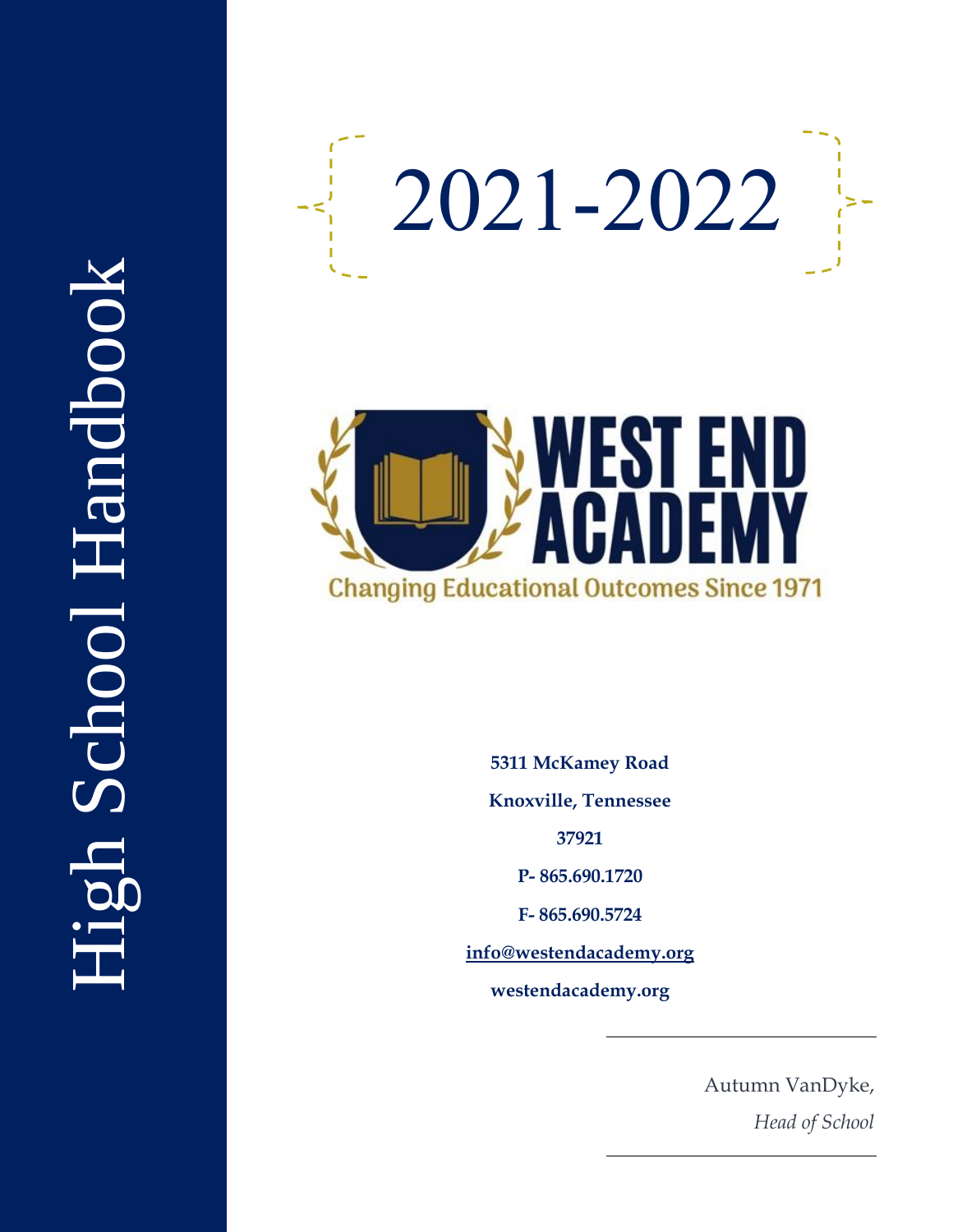



**5311 McKamey Road Knoxville, Tennessee 37921 P - 865.690.1720 F - 865.690.5724 [info@westendacademy.org](mailto:info@westendacademy.org) westendacademy.org**

> Autumn VanDyke, *Head of School*

# High School Handbook Ligh School Handbook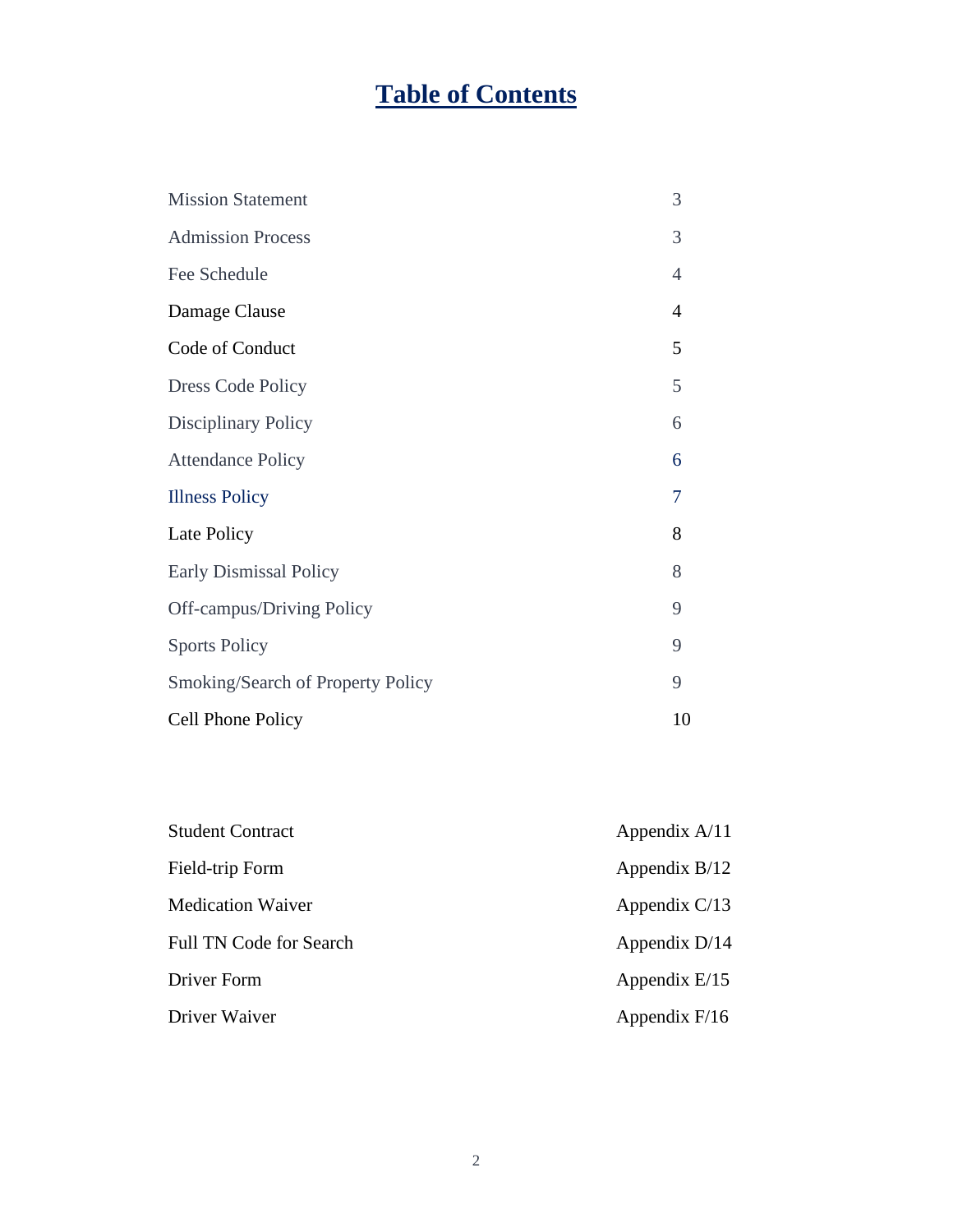# **Table of Contents**

| <b>Mission Statement</b>          | 3              |
|-----------------------------------|----------------|
| <b>Admission Process</b>          | 3              |
| Fee Schedule                      | $\overline{4}$ |
| Damage Clause                     | 4              |
| Code of Conduct                   | 5              |
| <b>Dress Code Policy</b>          | 5              |
| <b>Disciplinary Policy</b>        | 6              |
| <b>Attendance Policy</b>          | 6              |
| <b>Illness Policy</b>             | 7              |
| Late Policy                       | 8              |
| <b>Early Dismissal Policy</b>     | 8              |
| <b>Off-campus/Driving Policy</b>  | 9              |
| <b>Sports Policy</b>              | 9              |
| Smoking/Search of Property Policy | 9              |
| Cell Phone Policy                 | 10             |

| <b>Student Contract</b>        | Appendix $A/11$ |
|--------------------------------|-----------------|
| Field-trip Form                | Appendix $B/12$ |
| Medication Waiver              | Appendix $C/13$ |
| <b>Full TN Code for Search</b> | Appendix $D/14$ |
| Driver Form                    | Appendix $E/15$ |
| Driver Waiver                  | Appendix $F/16$ |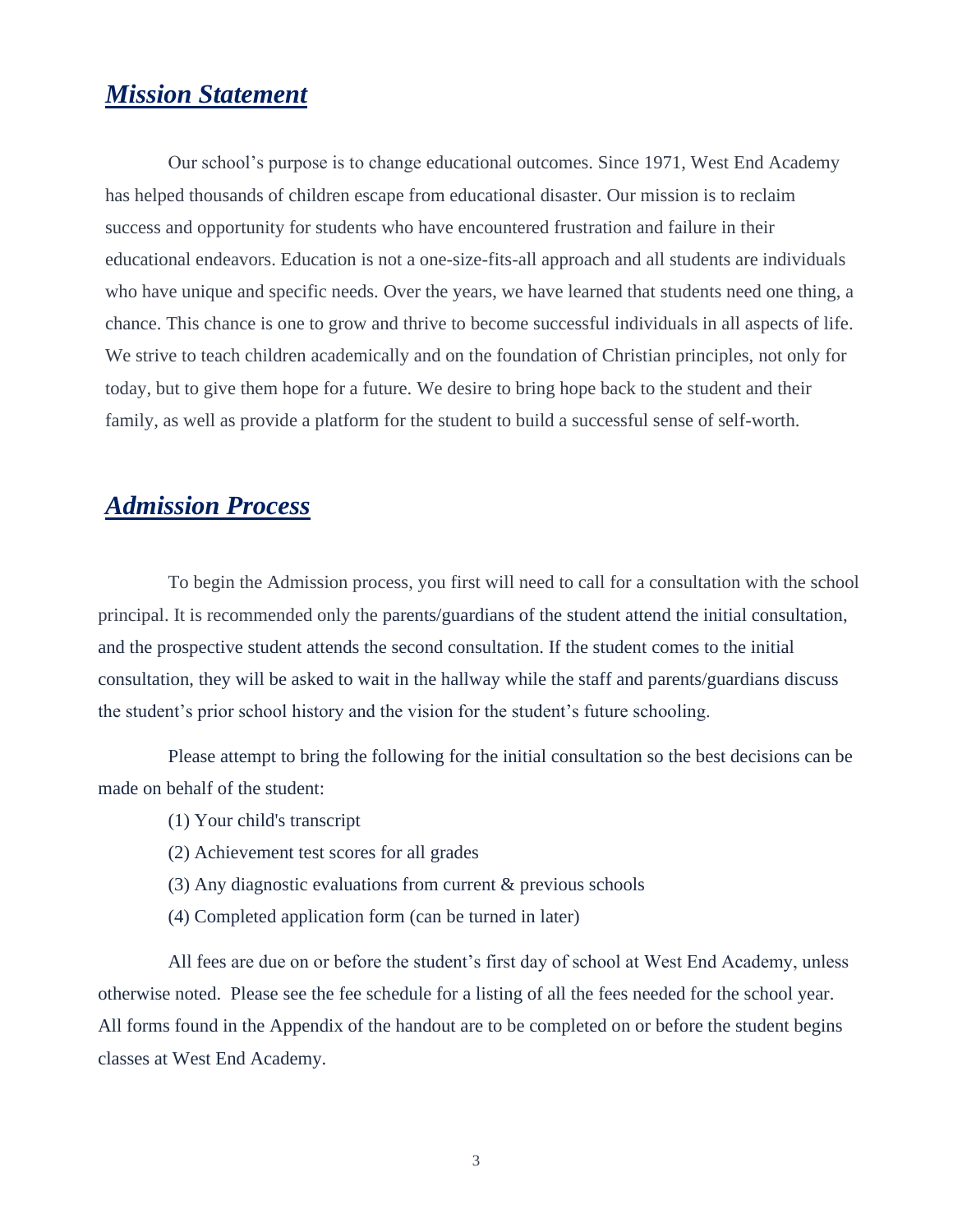## *Mission Statement*

Our school's purpose is to change educational outcomes. Since 1971, West End Academy has helped thousands of children escape from educational disaster. Our mission is to reclaim success and opportunity for students who have encountered frustration and failure in their educational endeavors. Education is not a one-size-fits-all approach and all students are individuals who have unique and specific needs. Over the years, we have learned that students need one thing, a chance. This chance is one to grow and thrive to become successful individuals in all aspects of life. We strive to teach children academically and on the foundation of Christian principles, not only for today, but to give them hope for a future. We desire to bring hope back to the student and their family, as well as provide a platform for the student to build a successful sense of self-worth.

# *Admission Process*

To begin the Admission process, you first will need to call for a consultation with the school principal. It is recommended only the parents/guardians of the student attend the initial consultation, and the prospective student attends the second consultation. If the student comes to the initial consultation, they will be asked to wait in the hallway while the staff and parents/guardians discuss the student's prior school history and the vision for the student's future schooling.

Please attempt to bring the following for the initial consultation so the best decisions can be made on behalf of the student:

- (1) Your child's transcript
- (2) Achievement test scores for all grades
- (3) Any diagnostic evaluations from current & previous schools
- (4) Completed application form (can be turned in later)

All fees are due on or before the student's first day of school at West End Academy, unless otherwise noted. Please see the fee schedule for a listing of all the fees needed for the school year. All forms found in the Appendix of the handout are to be completed on or before the student begins classes at West End Academy.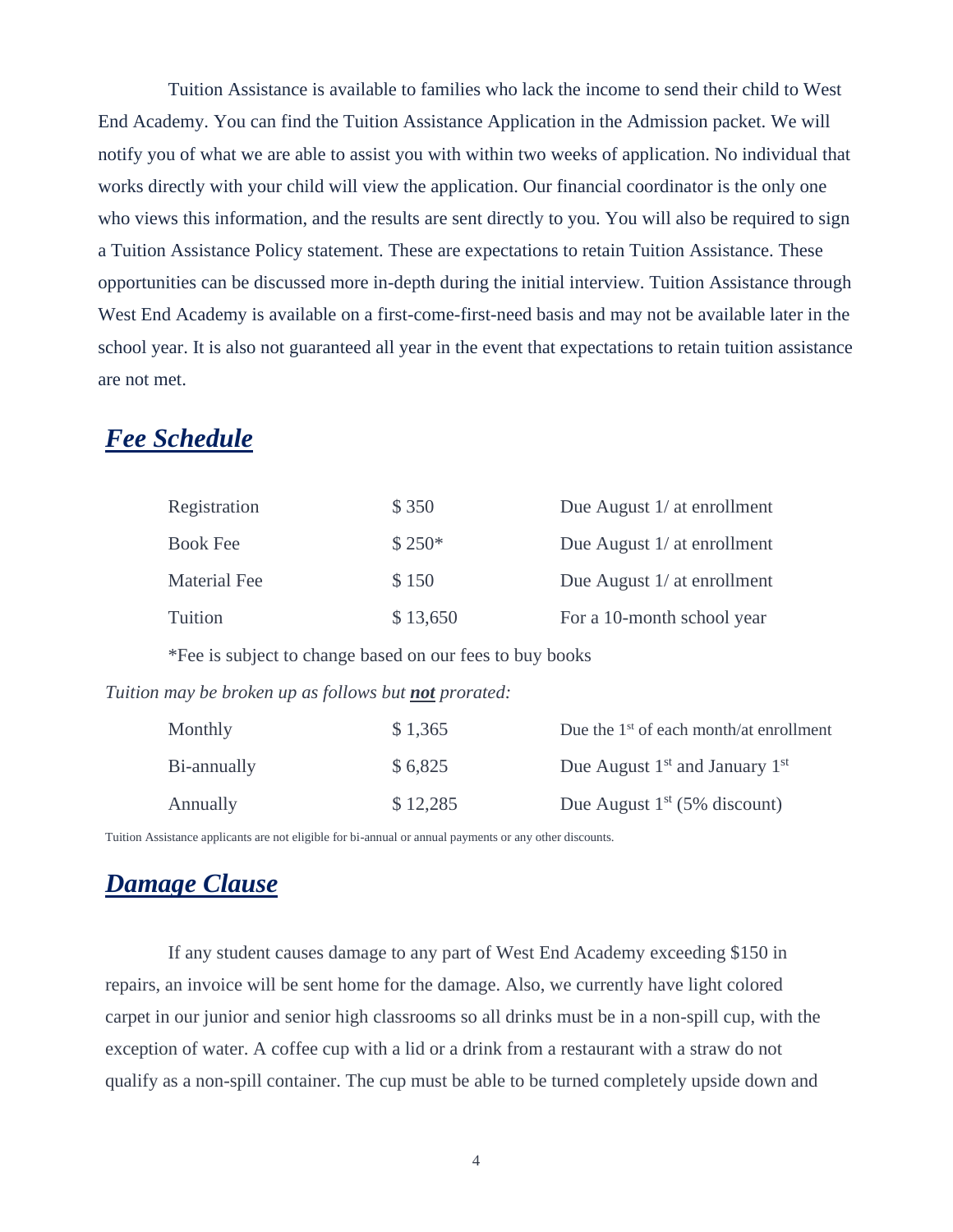Tuition Assistance is available to families who lack the income to send their child to West End Academy. You can find the Tuition Assistance Application in the Admission packet. We will notify you of what we are able to assist you with within two weeks of application. No individual that works directly with your child will view the application. Our financial coordinator is the only one who views this information, and the results are sent directly to you. You will also be required to sign a Tuition Assistance Policy statement. These are expectations to retain Tuition Assistance. These opportunities can be discussed more in-depth during the initial interview. Tuition Assistance through West End Academy is available on a first-come-first-need basis and may not be available later in the school year. It is also not guaranteed all year in the event that expectations to retain tuition assistance are not met.

# *Fee Schedule*

|                                                              | Registration                                             | \$350    | Due August 1/ at enrollment               |
|--------------------------------------------------------------|----------------------------------------------------------|----------|-------------------------------------------|
|                                                              | <b>Book Fee</b>                                          | $$250*$  | Due August 1/ at enrollment               |
|                                                              | <b>Material Fee</b>                                      | \$150    | Due August $1/$ at enrollment             |
|                                                              | <b>Tuition</b>                                           | \$13,650 | For a 10-month school year                |
|                                                              | *Fee is subject to change based on our fees to buy books |          |                                           |
| Tuition may be broken up as follows but <b>not</b> prorated: |                                                          |          |                                           |
|                                                              | Monthly                                                  | \$1,365  | Due the $1st$ of each month/at enrollment |
|                                                              | Bi-annually                                              | \$6,825  | Due August $1st$ and January $1st$        |
|                                                              |                                                          |          |                                           |

Annually  $$ 12,285$  Due August 1<sup>st</sup> (5% discount)

Tuition Assistance applicants are not eligible for bi-annual or annual payments or any other discounts.

# *Damage Clause*

If any student causes damage to any part of West End Academy exceeding \$150 in repairs, an invoice will be sent home for the damage. Also, we currently have light colored carpet in our junior and senior high classrooms so all drinks must be in a non-spill cup, with the exception of water. A coffee cup with a lid or a drink from a restaurant with a straw do not qualify as a non-spill container. The cup must be able to be turned completely upside down and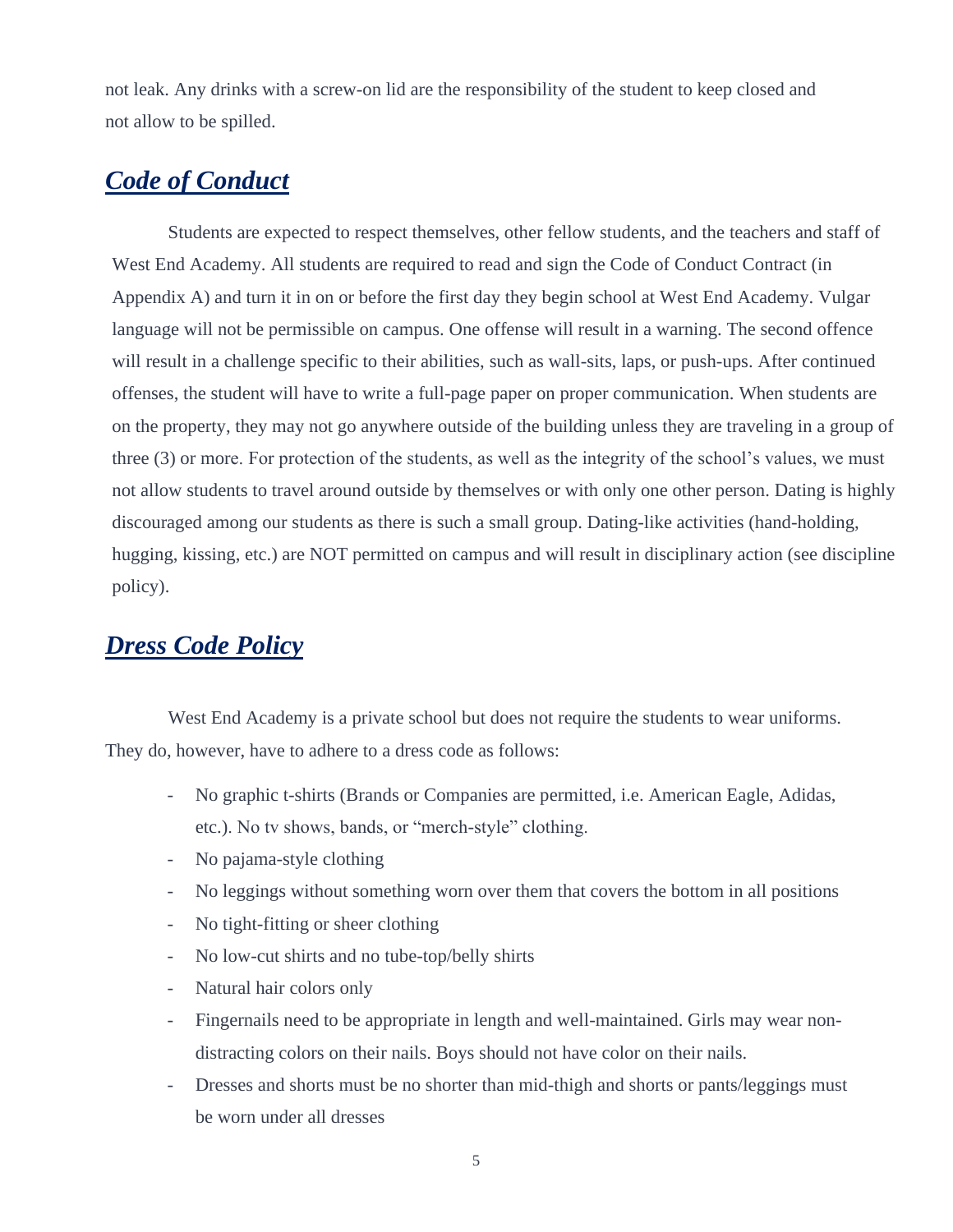not leak. Any drinks with a screw-on lid are the responsibility of the student to keep closed and not allow to be spilled.

# *Code of Conduct*

Students are expected to respect themselves, other fellow students, and the teachers and staff of West End Academy. All students are required to read and sign the Code of Conduct Contract (in Appendix A) and turn it in on or before the first day they begin school at West End Academy. Vulgar language will not be permissible on campus. One offense will result in a warning. The second offence will result in a challenge specific to their abilities, such as wall-sits, laps, or push-ups. After continued offenses, the student will have to write a full-page paper on proper communication. When students are on the property, they may not go anywhere outside of the building unless they are traveling in a group of three (3) or more. For protection of the students, as well as the integrity of the school's values, we must not allow students to travel around outside by themselves or with only one other person. Dating is highly discouraged among our students as there is such a small group. Dating-like activities (hand-holding, hugging, kissing, etc.) are NOT permitted on campus and will result in disciplinary action (see discipline policy).

# *Dress Code Policy*

West End Academy is a private school but does not require the students to wear uniforms. They do, however, have to adhere to a dress code as follows:

- No graphic t-shirts (Brands or Companies are permitted, i.e. American Eagle, Adidas, etc.). No tv shows, bands, or "merch-style" clothing.
- No pajama-style clothing
- No leggings without something worn over them that covers the bottom in all positions
- No tight-fitting or sheer clothing
- No low-cut shirts and no tube-top/belly shirts
- Natural hair colors only
- Fingernails need to be appropriate in length and well-maintained. Girls may wear nondistracting colors on their nails. Boys should not have color on their nails.
- Dresses and shorts must be no shorter than mid-thigh and shorts or pants/leggings must be worn under all dresses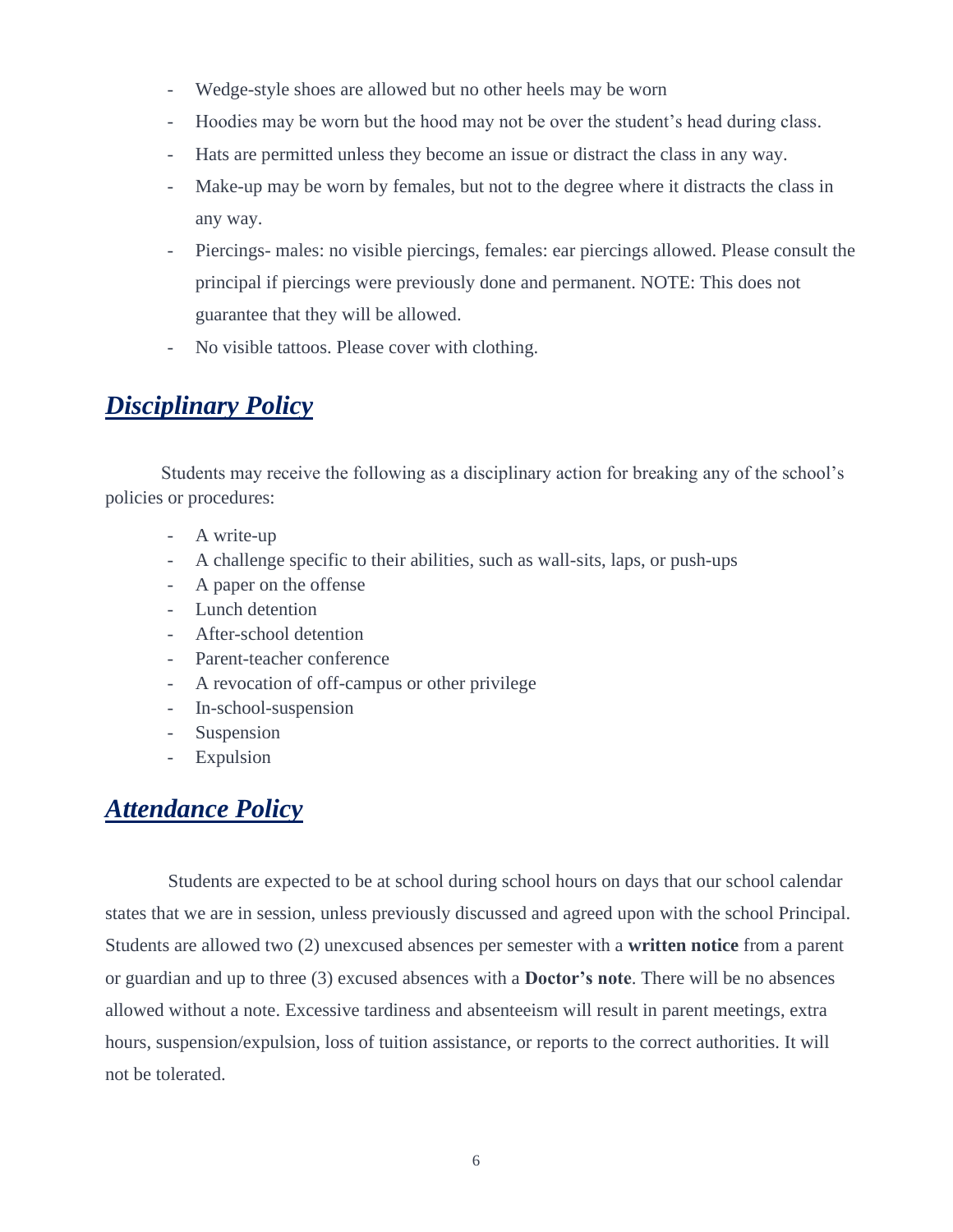- Wedge-style shoes are allowed but no other heels may be worn
- Hoodies may be worn but the hood may not be over the student's head during class.
- Hats are permitted unless they become an issue or distract the class in any way.
- Make-up may be worn by females, but not to the degree where it distracts the class in any way.
- Piercings- males: no visible piercings, females: ear piercings allowed. Please consult the principal if piercings were previously done and permanent. NOTE: This does not guarantee that they will be allowed.
- No visible tattoos. Please cover with clothing.

# *Disciplinary Policy*

Students may receive the following as a disciplinary action for breaking any of the school's policies or procedures:

- A write-up
- A challenge specific to their abilities, such as wall-sits, laps, or push-ups
- A paper on the offense
- Lunch detention
- After-school detention
- Parent-teacher conference
- A revocation of off-campus or other privilege
- In-school-suspension
- Suspension
- Expulsion

# *Attendance Policy*

Students are expected to be at school during school hours on days that our school calendar states that we are in session, unless previously discussed and agreed upon with the school Principal. Students are allowed two (2) unexcused absences per semester with a **written notice** from a parent or guardian and up to three (3) excused absences with a **Doctor's note**. There will be no absences allowed without a note. Excessive tardiness and absenteeism will result in parent meetings, extra hours, suspension/expulsion, loss of tuition assistance, or reports to the correct authorities. It will not be tolerated.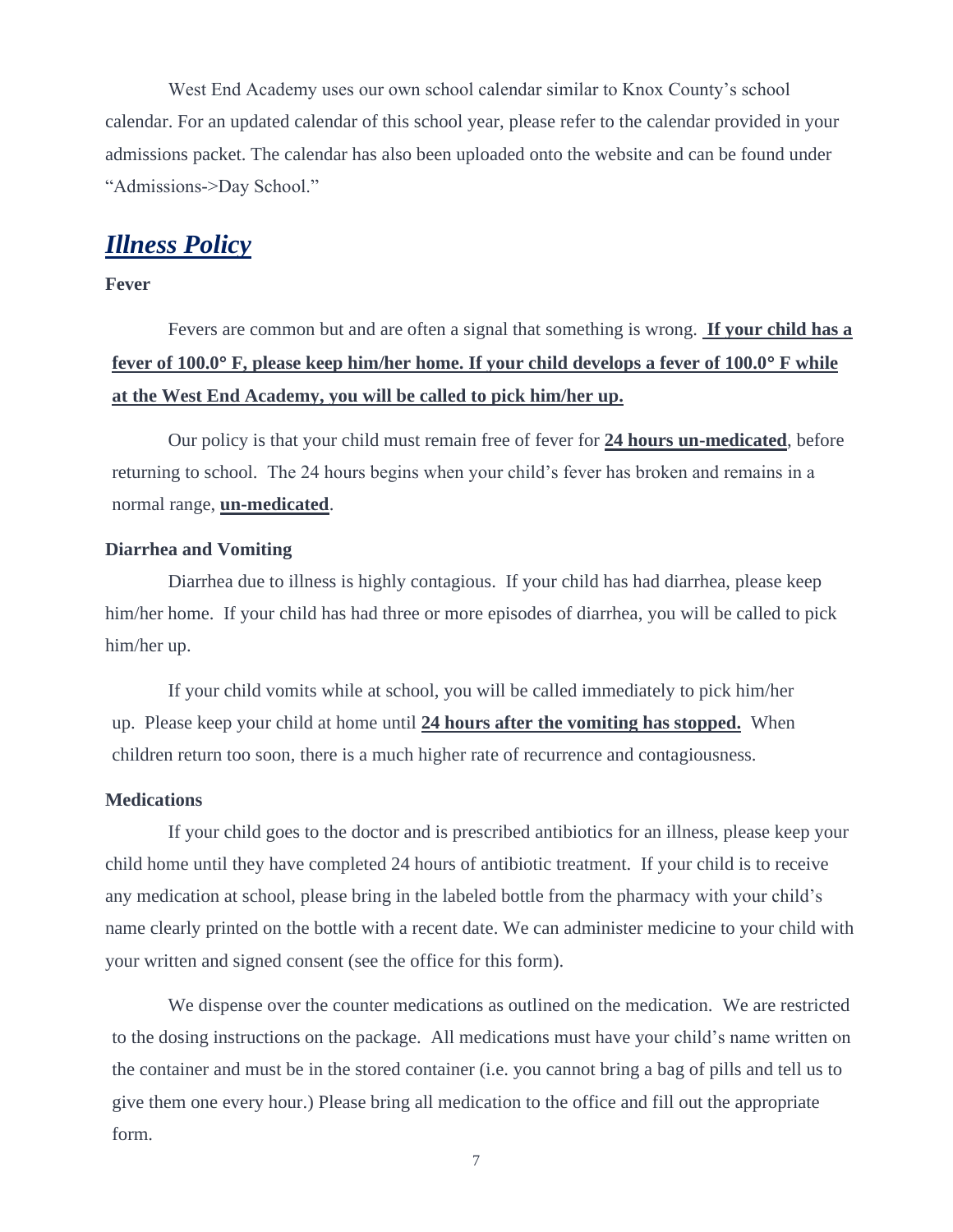West End Academy uses our own school calendar similar to Knox County's school calendar. For an updated calendar of this school year, please refer to the calendar provided in your admissions packet. The calendar has also been uploaded onto the website and can be found under "Admissions->Day School."

# *Illness Policy*

**Fever**

# Fevers are common but and are often a signal that something is wrong. **If your child has a fever of 100.0 F, please keep him/her home. If your child develops a fever of 100.0 F while at the West End Academy, you will be called to pick him/her up.**

Our policy is that your child must remain free of fever for **24 hours un-medicated**, before returning to school. The 24 hours begins when your child's fever has broken and remains in a normal range, **un-medicated**.

### **Diarrhea and Vomiting**

 Diarrhea due to illness is highly contagious. If your child has had diarrhea, please keep him/her home. If your child has had three or more episodes of diarrhea, you will be called to pick him/her up.

If your child vomits while at school, you will be called immediately to pick him/her up. Please keep your child at home until **24 hours after the vomiting has stopped.** When children return too soon, there is a much higher rate of recurrence and contagiousness.

### **Medications**

 If your child goes to the doctor and is prescribed antibiotics for an illness, please keep your child home until they have completed 24 hours of antibiotic treatment. If your child is to receive any medication at school, please bring in the labeled bottle from the pharmacy with your child's name clearly printed on the bottle with a recent date. We can administer medicine to your child with your written and signed consent (see the office for this form).

We dispense over the counter medications as outlined on the medication. We are restricted to the dosing instructions on the package. All medications must have your child's name written on the container and must be in the stored container (i.e. you cannot bring a bag of pills and tell us to give them one every hour.) Please bring all medication to the office and fill out the appropriate form.

7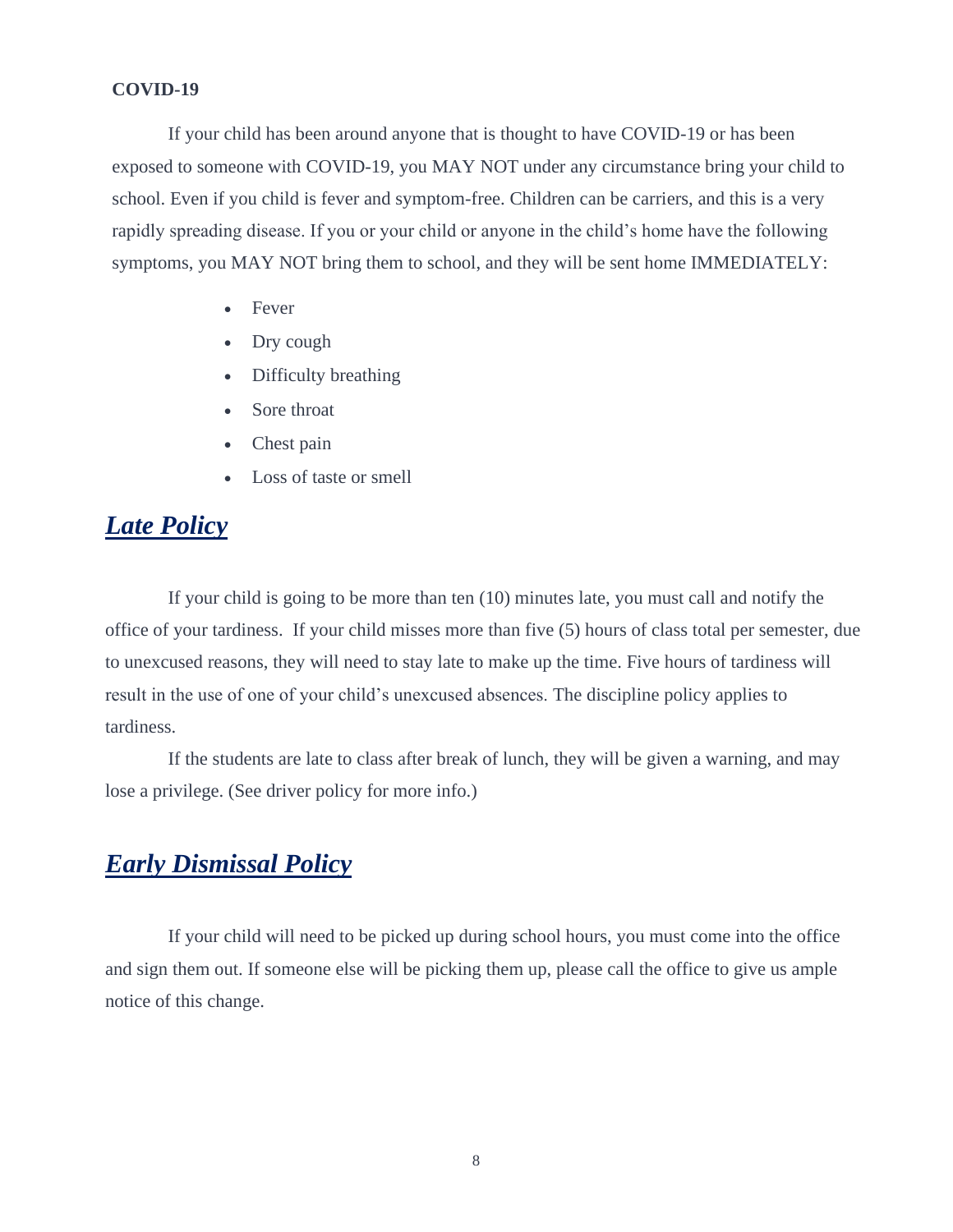### **COVID-19**

If your child has been around anyone that is thought to have COVID-19 or has been exposed to someone with COVID-19, you MAY NOT under any circumstance bring your child to school. Even if you child is fever and symptom-free. Children can be carriers, and this is a very rapidly spreading disease. If you or your child or anyone in the child's home have the following symptoms, you MAY NOT bring them to school, and they will be sent home IMMEDIATELY:

- **Fever**
- Dry cough
- Difficulty breathing
- Sore throat
- Chest pain
- Loss of taste or smell

# *Late Policy*

If your child is going to be more than ten (10) minutes late, you must call and notify the office of your tardiness. If your child misses more than five (5) hours of class total per semester, due to unexcused reasons, they will need to stay late to make up the time. Five hours of tardiness will result in the use of one of your child's unexcused absences. The discipline policy applies to tardiness.

If the students are late to class after break of lunch, they will be given a warning, and may lose a privilege. (See driver policy for more info.)

# *Early Dismissal Policy*

If your child will need to be picked up during school hours, you must come into the office and sign them out. If someone else will be picking them up, please call the office to give us ample notice of this change.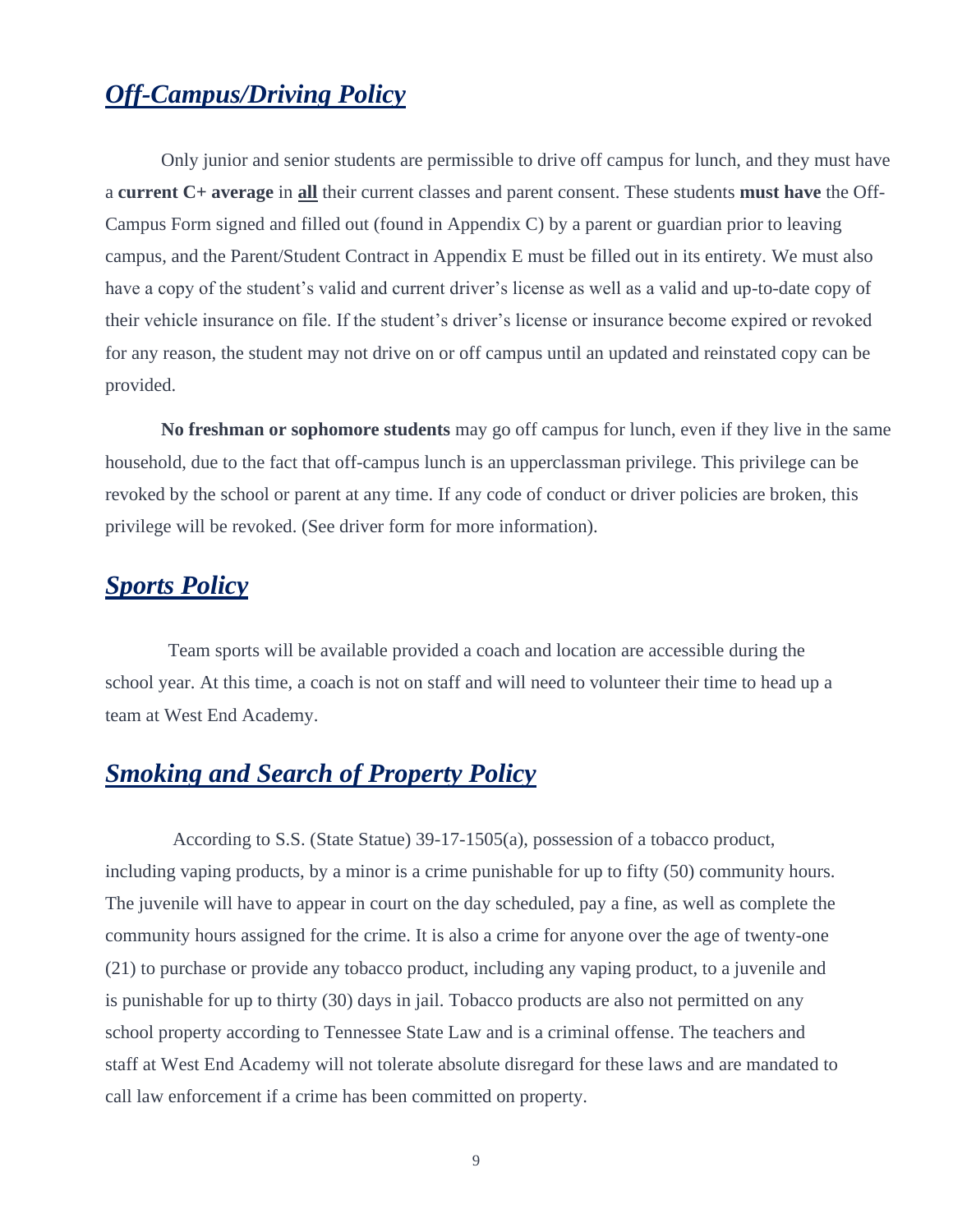# *Off-Campus/Driving Policy*

Only junior and senior students are permissible to drive off campus for lunch, and they must have a **current C+ average** in **all** their current classes and parent consent. These students **must have** the Off-Campus Form signed and filled out (found in Appendix C) by a parent or guardian prior to leaving campus, and the Parent/Student Contract in Appendix E must be filled out in its entirety. We must also have a copy of the student's valid and current driver's license as well as a valid and up-to-date copy of their vehicle insurance on file. If the student's driver's license or insurance become expired or revoked for any reason, the student may not drive on or off campus until an updated and reinstated copy can be provided.

**No freshman or sophomore students** may go off campus for lunch, even if they live in the same household, due to the fact that off-campus lunch is an upperclassman privilege. This privilege can be revoked by the school or parent at any time. If any code of conduct or driver policies are broken, this privilege will be revoked. (See driver form for more information).

# *Sports Policy*

Team sports will be available provided a coach and location are accessible during the school year. At this time, a coach is not on staff and will need to volunteer their time to head up a team at West End Academy.

# *Smoking and Search of Property Policy*

According to S.S. (State Statue) 39-17-1505(a), possession of a tobacco product, including vaping products, by a minor is a crime punishable for up to fifty (50) community hours. The juvenile will have to appear in court on the day scheduled, pay a fine, as well as complete the community hours assigned for the crime. It is also a crime for anyone over the age of twenty-one (21) to purchase or provide any tobacco product, including any vaping product, to a juvenile and is punishable for up to thirty (30) days in jail. Tobacco products are also not permitted on any school property according to Tennessee State Law and is a criminal offense. The teachers and staff at West End Academy will not tolerate absolute disregard for these laws and are mandated to call law enforcement if a crime has been committed on property.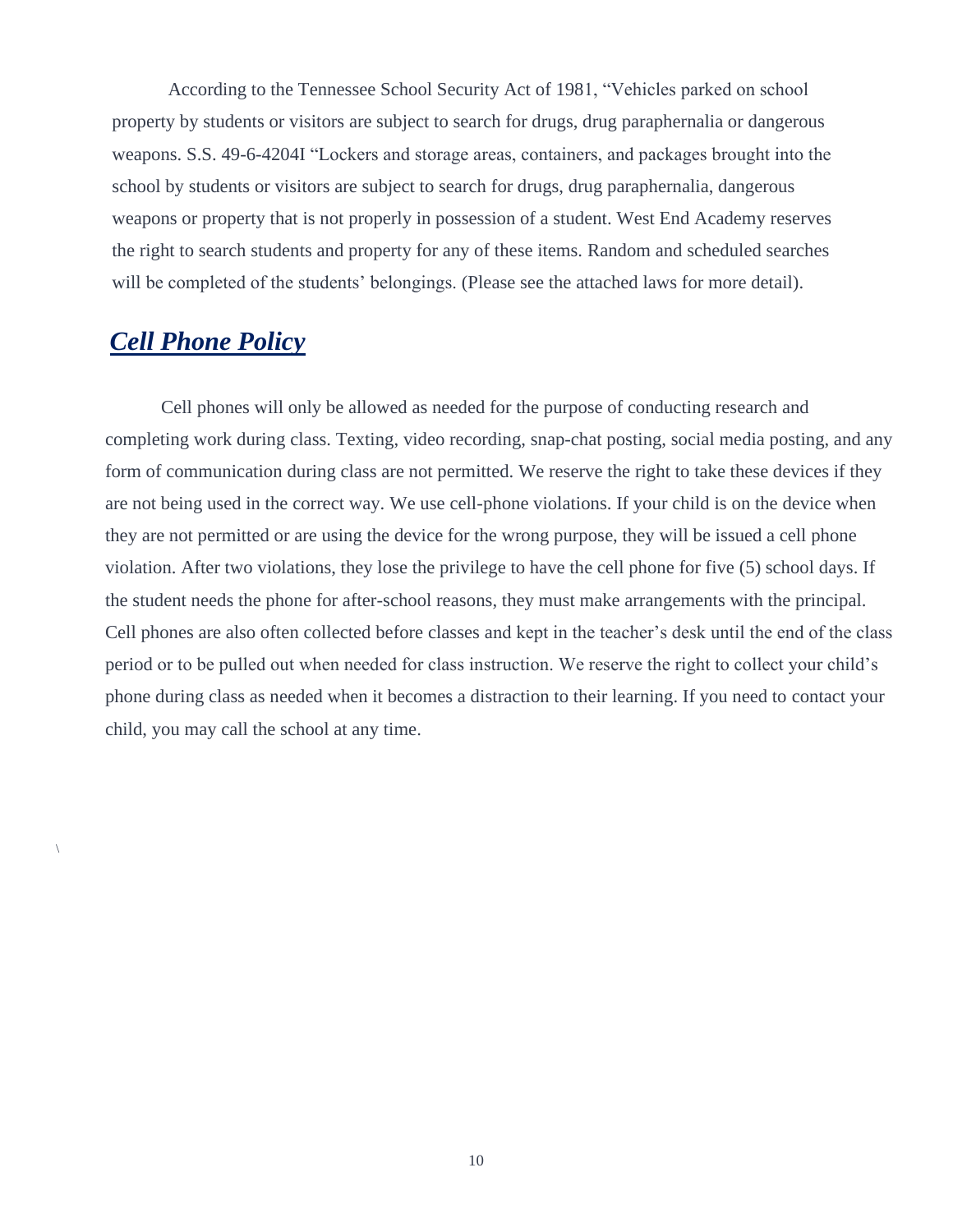According to the Tennessee School Security Act of 1981, "Vehicles parked on school property by students or visitors are subject to search for drugs, drug paraphernalia or dangerous weapons. S.S. 49-6-4204I "Lockers and storage areas, containers, and packages brought into the school by students or visitors are subject to search for drugs, drug paraphernalia, dangerous weapons or property that is not properly in possession of a student. West End Academy reserves the right to search students and property for any of these items. Random and scheduled searches will be completed of the students' belongings. (Please see the attached laws for more detail).

# *Cell Phone Policy*

 $\setminus$ 

Cell phones will only be allowed as needed for the purpose of conducting research and completing work during class. Texting, video recording, snap-chat posting, social media posting, and any form of communication during class are not permitted. We reserve the right to take these devices if they are not being used in the correct way. We use cell-phone violations. If your child is on the device when they are not permitted or are using the device for the wrong purpose, they will be issued a cell phone violation. After two violations, they lose the privilege to have the cell phone for five (5) school days. If the student needs the phone for after-school reasons, they must make arrangements with the principal. Cell phones are also often collected before classes and kept in the teacher's desk until the end of the class period or to be pulled out when needed for class instruction. We reserve the right to collect your child's phone during class as needed when it becomes a distraction to their learning. If you need to contact your child, you may call the school at any time.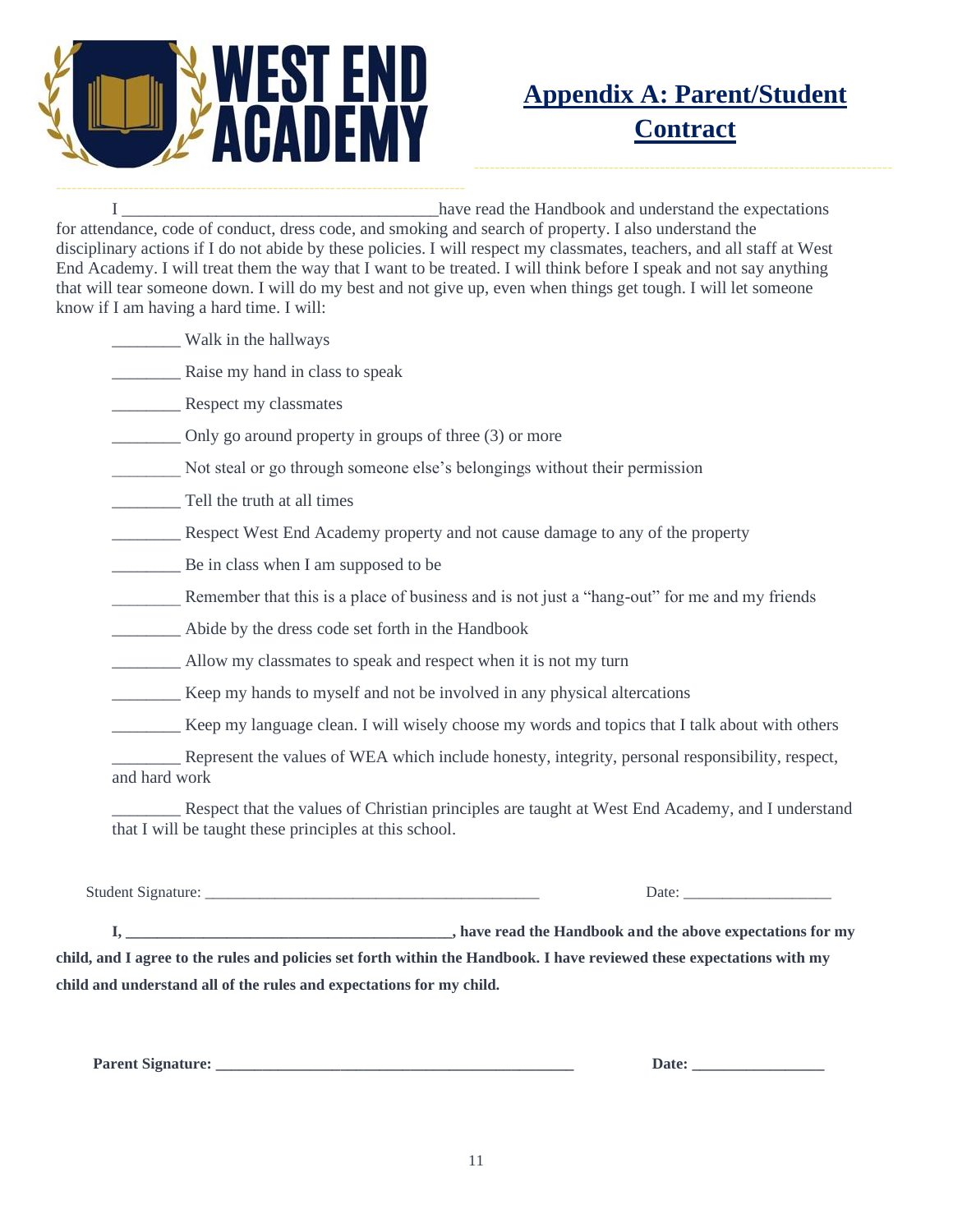

# **Appendix A: Parent/Student Contract**

I contract the Handbook and understand the expectations of the Handbook and understand the expectations for attendance, code of conduct, dress code, and smoking and search of property. I also understand the disciplinary actions if I do not abide by these policies. I will respect my classmates, teachers, and all staff at West End Academy. I will treat them the way that I want to be treated. I will think before I speak and not say anything that will tear someone down. I will do my best and not give up, even when things get tough. I will let someone know if I am having a hard time. I will:

\_\_\_\_\_\_\_\_ Walk in the hallways

\_\_\_\_\_\_\_\_ Raise my hand in class to speak

Respect my classmates

\_\_\_\_\_\_\_\_ Only go around property in groups of three (3) or more

Not steal or go through someone else's belongings without their permission

Tell the truth at all times

Respect West End Academy property and not cause damage to any of the property

**EXECUTE:** Be in class when I am supposed to be

Remember that this is a place of business and is not just a "hang-out" for me and my friends

\_\_\_\_\_\_\_\_ Abide by the dress code set forth in the Handbook

Allow my classmates to speak and respect when it is not my turn

\_\_\_\_\_\_\_\_ Keep my hands to myself and not be involved in any physical altercations

\_\_\_\_\_\_\_\_ Keep my language clean. I will wisely choose my words and topics that I talk about with others

Represent the values of WEA which include honesty, integrity, personal responsibility, respect, and hard work

Respect that the values of Christian principles are taught at West End Academy, and I understand that I will be taught these principles at this school.

Student Signature: \_\_\_\_\_\_\_\_\_\_\_\_\_\_\_\_\_\_\_\_\_\_\_\_\_\_\_\_\_\_\_\_\_\_\_\_\_\_\_\_\_\_\_ Date: \_\_\_\_\_\_\_\_\_\_\_\_\_\_\_\_\_\_\_

**I, \_\_\_\_\_\_\_\_\_\_\_\_\_\_\_\_\_\_\_\_\_\_\_\_\_\_\_\_\_\_\_\_\_\_\_\_\_\_\_\_\_\_, have read the Handbook and the above expectations for my child, and I agree to the rules and policies set forth within the Handbook. I have reviewed these expectations with my child and understand all of the rules and expectations for my child.**

**Parent Signature:**  $\qquad \qquad$  Date: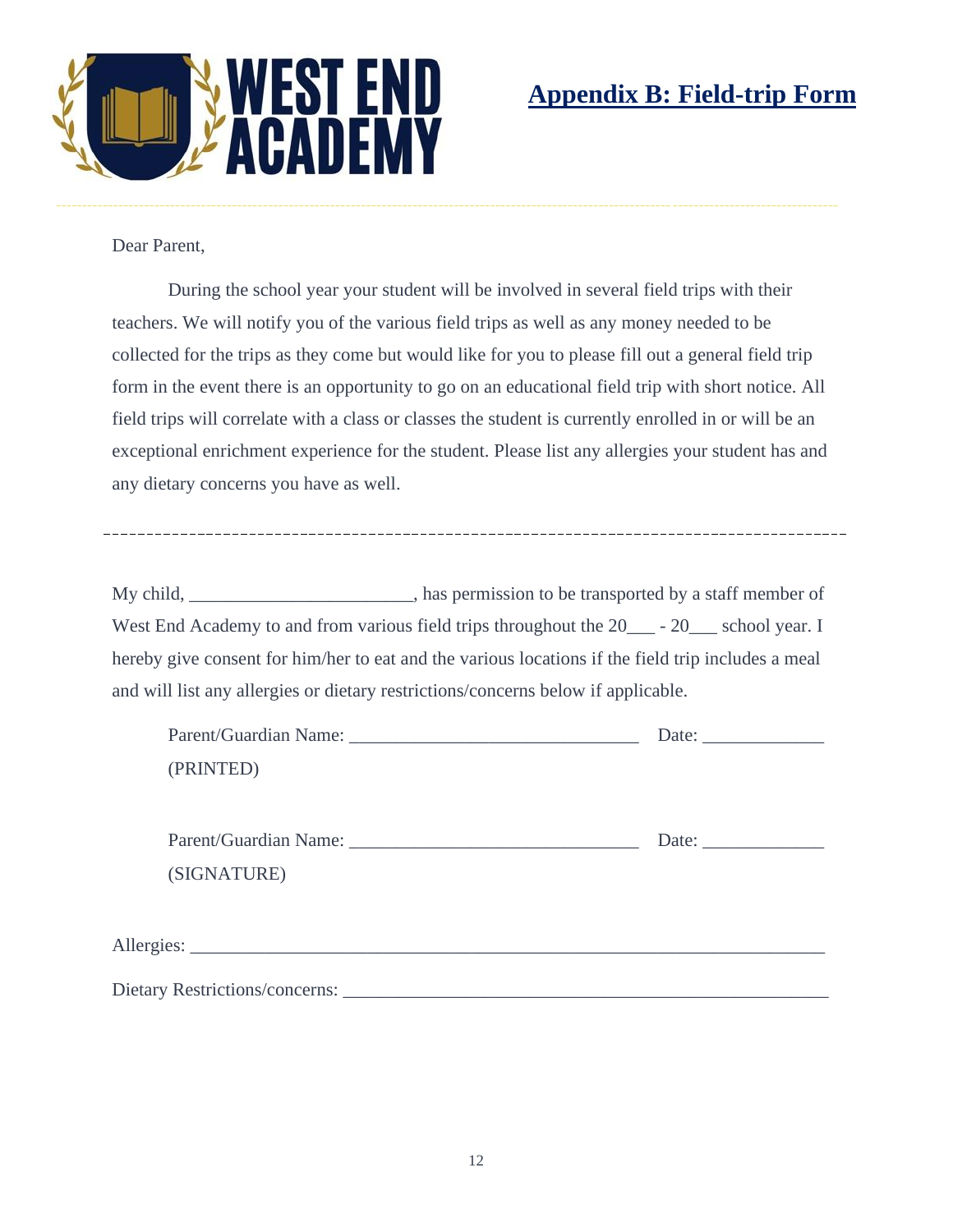

Dear Parent,

During the school year your student will be involved in several field trips with their teachers. We will notify you of the various field trips as well as any money needed to be collected for the trips as they come but would like for you to please fill out a general field trip form in the event there is an opportunity to go on an educational field trip with short notice. All field trips will correlate with a class or classes the student is currently enrolled in or will be an exceptional enrichment experience for the student. Please list any allergies your student has and any dietary concerns you have as well.

My child, \_\_\_\_\_\_\_\_\_\_\_\_\_\_\_\_\_\_\_\_\_, has permission to be transported by a staff member of West End Academy to and from various field trips throughout the 20  $-20$  school year. I hereby give consent for him/her to eat and the various locations if the field trip includes a meal and will list any allergies or dietary restrictions/concerns below if applicable.

|             | Date: $\qquad \qquad$                                  |
|-------------|--------------------------------------------------------|
| (PRINTED)   |                                                        |
|             |                                                        |
|             | Date: $\frac{1}{\sqrt{1-\frac{1}{2}}\cdot\frac{1}{2}}$ |
| (SIGNATURE) |                                                        |
|             |                                                        |
|             |                                                        |
|             |                                                        |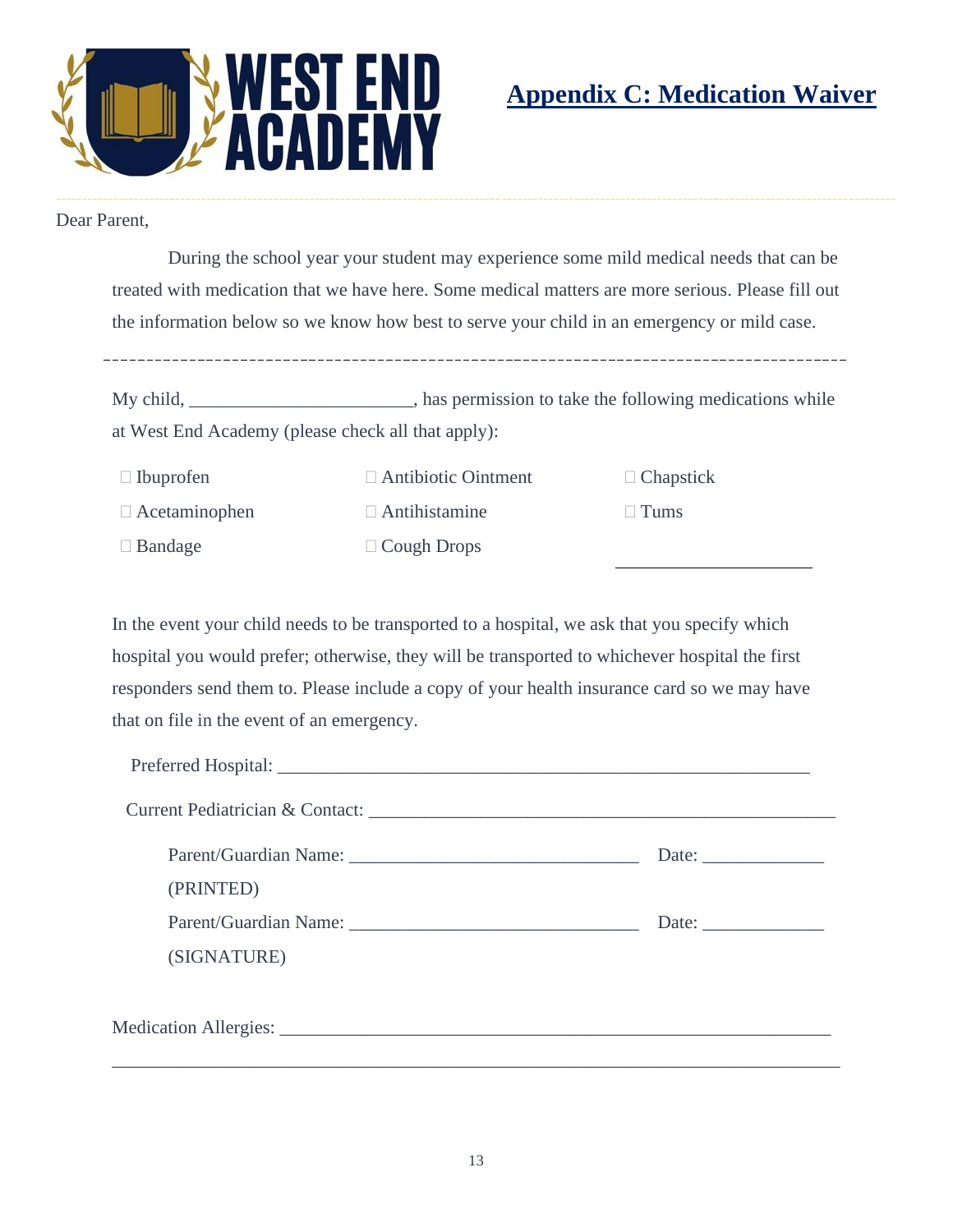

# **Appendix C: Medication Waiver**

Dear Parent,

During the school year your student may experience some mild medical needs that can be treated with medication that we have here. Some medical matters are more serious. Please fill out the information below so we know how best to serve your child in an emergency or mild case.

My child, \_\_\_\_\_\_\_\_\_\_\_\_\_\_\_\_\_\_\_\_\_\_, has permission to take the following medications while at West End Academy (please check all that apply):

| $\Box$ Ibuprofen     | $\Box$ Antibiotic Ointment | $\Box$ Chapstick |
|----------------------|----------------------------|------------------|
| $\Box$ Acetaminophen | $\Box$ Antihistamine       | $\Box$ Tums      |
| $\Box$ Bandage       | $\Box$ Cough Drops         |                  |

In the event your child needs to be transported to a hospital, we ask that you specify which hospital you would prefer; otherwise, they will be transported to whichever hospital the first responders send them to. Please include a copy of your health insurance card so we may have that on file in the event of an emergency.

| (PRINTED)                                                                                                                                                                                                                                     |  |  |
|-----------------------------------------------------------------------------------------------------------------------------------------------------------------------------------------------------------------------------------------------|--|--|
| Parent/Guardian Name: 2008 and 2008 and 2010 and 2010 and 2010 and 2010 and 2010 and 2010 and 2010 and 2010 and 2010 and 2010 and 2010 and 2010 and 2010 and 2010 and 2010 and 2010 and 2010 and 2010 and 2010 and 2010 and 20<br>(SIGNATURE) |  |  |
|                                                                                                                                                                                                                                               |  |  |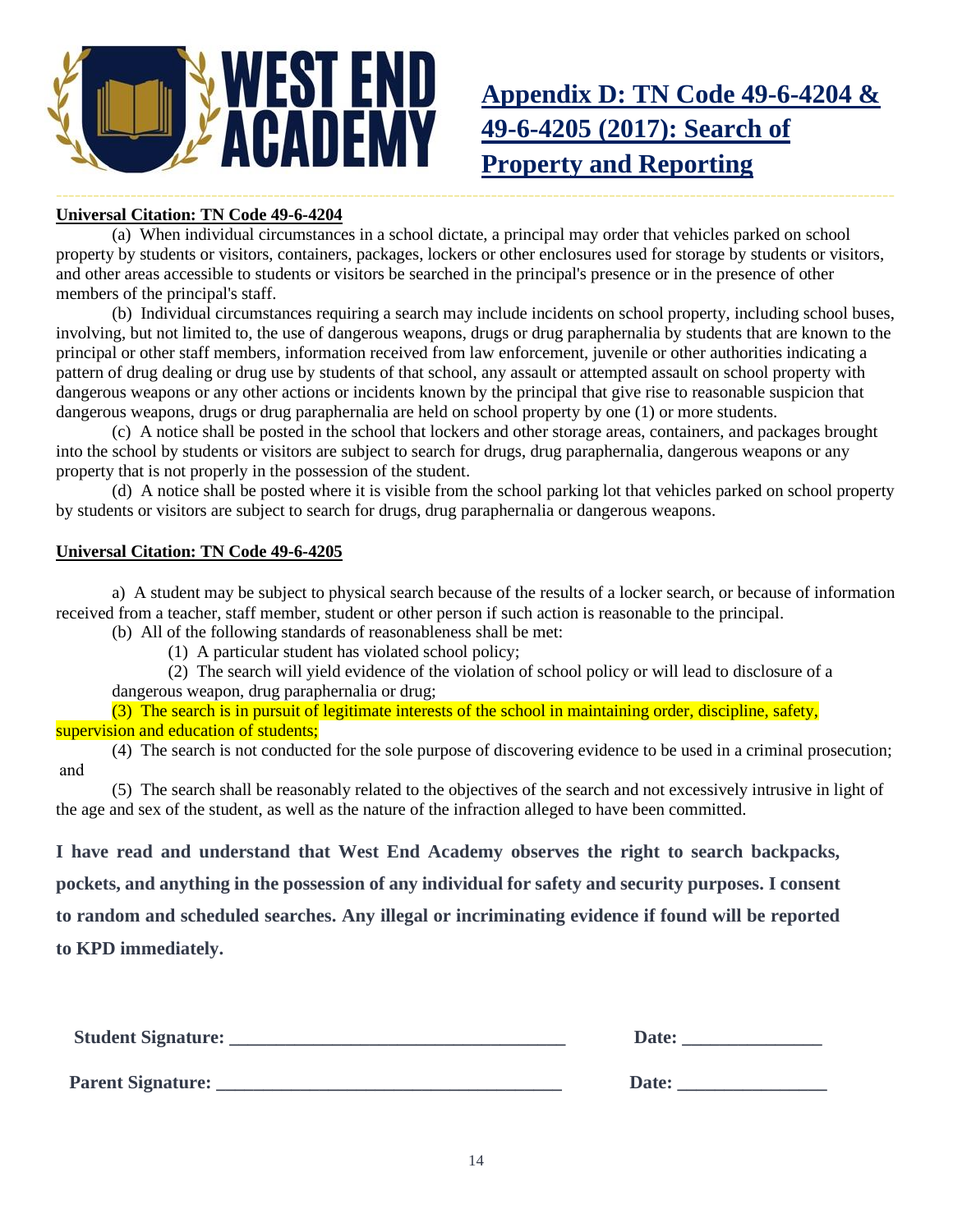

# **Appendix D: TN Code 49-6-4204 & 49-6-4205 (2017): Search of Property and Reporting**

### --------------------------------------------------------------------------------------------------------------------------------------- **Universal Citation: TN Code 49-6-4204**

(a) When individual circumstances in a school dictate, a principal may order that vehicles parked on school property by students or visitors, containers, packages, lockers or other enclosures used for storage by students or visitors, and other areas accessible to students or visitors be searched in the principal's presence or in the presence of other members of the principal's staff.

(b) Individual circumstances requiring a search may include incidents on school property, including school buses, involving, but not limited to, the use of dangerous weapons, drugs or drug paraphernalia by students that are known to the principal or other staff members, information received from law enforcement, juvenile or other authorities indicating a pattern of drug dealing or drug use by students of that school, any assault or attempted assault on school property with dangerous weapons or any other actions or incidents known by the principal that give rise to reasonable suspicion that dangerous weapons, drugs or drug paraphernalia are held on school property by one (1) or more students.

(c) A notice shall be posted in the school that lockers and other storage areas, containers, and packages brought into the school by students or visitors are subject to search for drugs, drug paraphernalia, dangerous weapons or any property that is not properly in the possession of the student.

(d) A notice shall be posted where it is visible from the school parking lot that vehicles parked on school property by students or visitors are subject to search for drugs, drug paraphernalia or dangerous weapons.

### **Universal Citation: TN Code 49-6-4205**

a) A student may be subject to physical search because of the results of a locker search, or because of information received from a teacher, staff member, student or other person if such action is reasonable to the principal. (b) All of the following standards of reasonableness shall be met:

(1) A particular student has violated school policy;

(2) The search will yield evidence of the violation of school policy or will lead to disclosure of a

dangerous weapon, drug paraphernalia or drug;

(3) The search is in pursuit of legitimate interests of the school in maintaining order, discipline, safety, supervision and education of students;

(4) The search is not conducted for the sole purpose of discovering evidence to be used in a criminal prosecution;  and

(5) The search shall be reasonably related to the objectives of the search and not excessively intrusive in light of the age and sex of the student, as well as the nature of the infraction alleged to have been committed.

**I have read and understand that West End Academy observes the right to search backpacks,** 

**pockets, and anything in the possession of any individual for safety and security purposes. I consent** 

**to random and scheduled searches. Any illegal or incriminating evidence if found will be reported** 

**to KPD immediately.** 

| <b>Student Signature:</b> | Date:        |
|---------------------------|--------------|
| <b>Parent Signature:</b>  | <b>Date:</b> |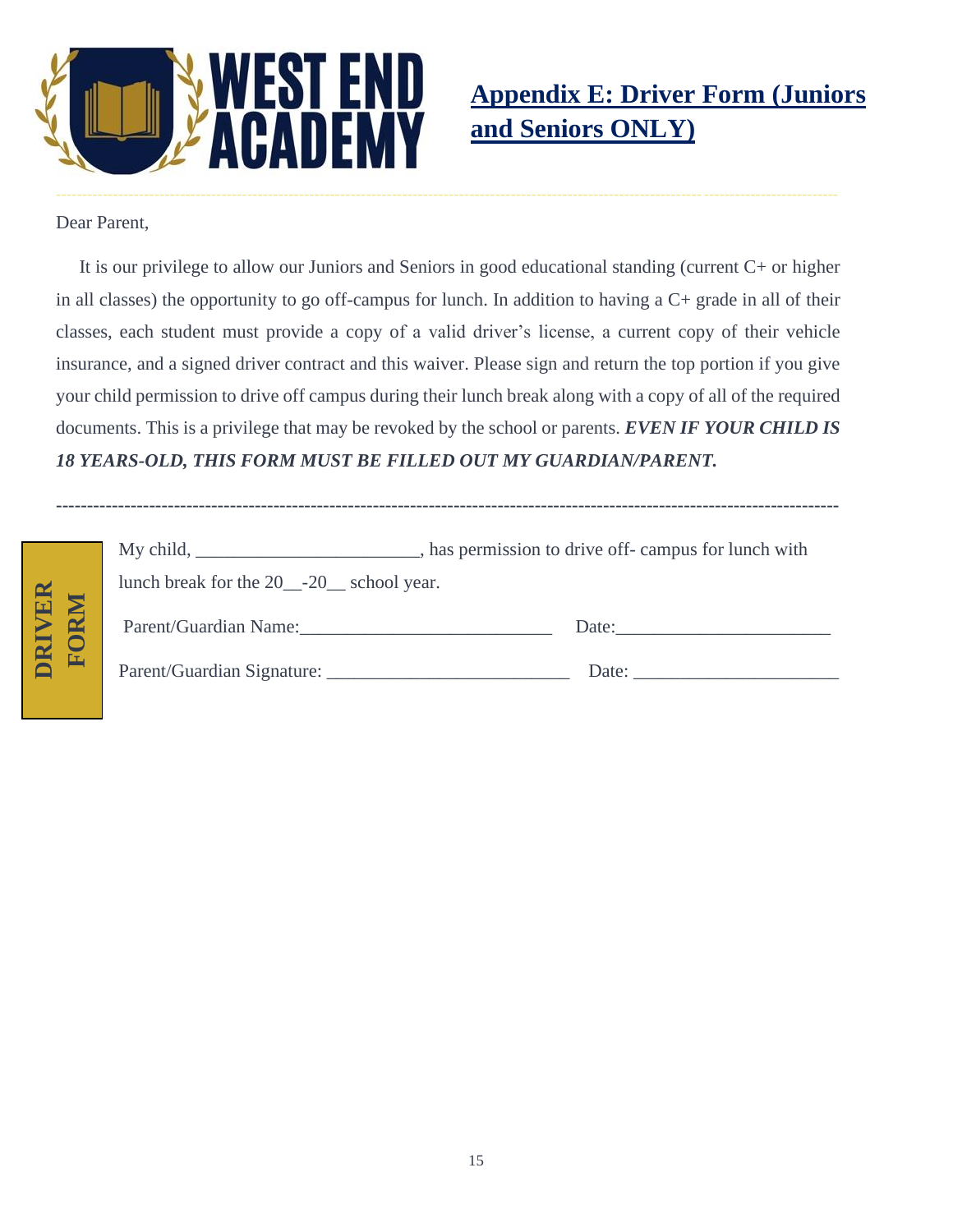

Dear Parent,

 It is our privilege to allow our Juniors and Seniors in good educational standing (current C+ or higher in all classes) the opportunity to go off-campus for lunch. In addition to having a C+ grade in all of their classes, each student must provide a copy of a valid driver's license, a current copy of their vehicle insurance, and a signed driver contract and this waiver. Please sign and return the top portion if you give your child permission to drive off campus during their lunch break along with a copy of all of the required documents. This is a privilege that may be revoked by the school or parents. *EVEN IF YOUR CHILD IS 18 YEARS-OLD, THIS FORM MUST BE FILLED OUT MY GUARDIAN/PARENT.*

|                  |                                                                   | My child, ______________________________, has permission to drive off- campus for lunch with |
|------------------|-------------------------------------------------------------------|----------------------------------------------------------------------------------------------|
|                  | lunch break for the 20 <sub>-</sub> -20 <sub>-</sub> school year. |                                                                                              |
| <b>NER</b><br>RM | Parent/Guardian Name:                                             | Date: $\qquad \qquad$                                                                        |
| DRI<br>匠         | Parent/Guardian Signature:                                        |                                                                                              |